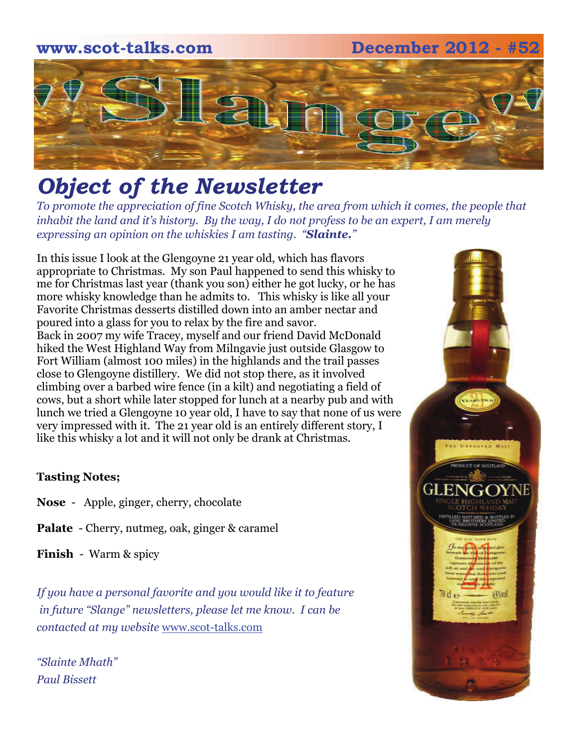# **www.scot-talks.com December 2012 - #52**  $\lfloor 3 \rfloor$

# *Object of the Newsletter*

*To promote the appreciation of fine Scotch Whisky, the area from which it comes, the people that inhabit the land and it's history. By the way, I do not profess to be an expert, I am merely expressing an opinion on the whiskies I am tasting. "Slainte."* 

In this issue I look at the Glengoyne 21 year old, which has flavors appropriate to Christmas. My son Paul happened to send this whisky to me for Christmas last year (thank you son) either he got lucky, or he has more whisky knowledge than he admits to. This whisky is like all your Favorite Christmas desserts distilled down into an amber nectar and poured into a glass for you to relax by the fire and savor. Back in 2007 my wife Tracey, myself and our friend David McDonald hiked the West Highland Way from Milngavie just outside Glasgow to Fort William (almost 100 miles) in the highlands and the trail passes close to Glengoyne distillery. We did not stop there, as it involved climbing over a barbed wire fence (in a kilt) and negotiating a field of cows, but a short while later stopped for lunch at a nearby pub and with lunch we tried a Glengoyne 10 year old, I have to say that none of us were very impressed with it. The 21 year old is an entirely different story, I like this whisky a lot and it will not only be drank at Christmas.

#### **Tasting Notes;**

- **Nose**  Apple, ginger, cherry, chocolate
- **Palate**  Cherry, nutmeg, oak, ginger & caramel

**Finish** - Warm & spicy

*If you have a personal favorite and you would like it to feature in future "Slange" newsletters, please let me know. I can be contacted at my website* [www.scot-talks.com](http://www.scot-talks.com/default.html)

*"Slainte Mhath" Paul Bissett*

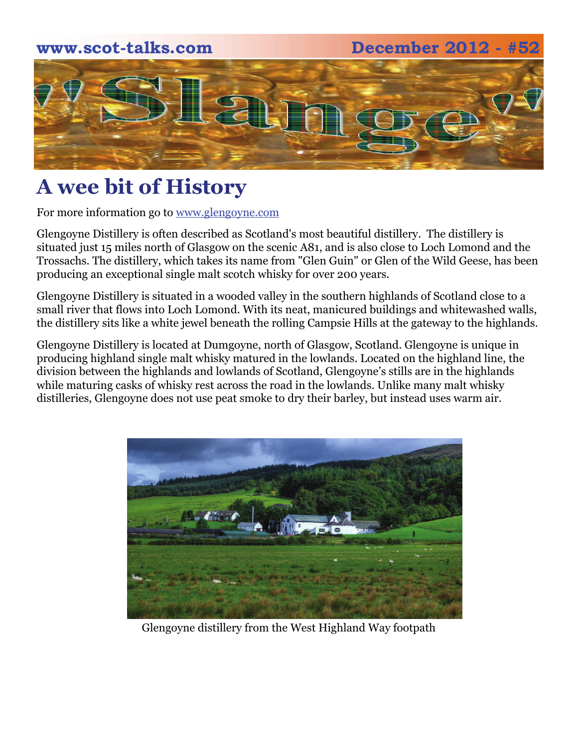#### **www.scot-talks.com December 2012 - #52**



## **A wee bit of History**

For more information go to www.glengoyne.com

Glengoyne Distillery is often described as Scotland's most beautiful distillery. The distillery is situated just 15 miles north of Glasgow on the scenic A81, and is also close to Loch Lomond and the Trossachs. The distillery, which takes its name from "Glen Guin" or Glen of the Wild Geese, has been producing an exceptional single malt scotch whisky for over 200 years.

Glengoyne Distillery is situated in a wooded valley in the southern highlands of Scotland close to a small river that flows into Loch Lomond. With its neat, manicured buildings and whitewashed walls, the distillery sits like a white jewel beneath the rolling Campsie Hills at the gateway to the highlands.

Glengoyne Distillery is located at Dumgoyne, north of Glasgow, Scotland. Glengoyne is unique in producing highland single malt whisky matured in the lowlands. Located on the highland line, the division between the highlands and lowlands of Scotland, Glengoyne's stills are in the highlands while maturing casks of whisky rest across the road in the lowlands. Unlike many malt whisky distilleries, Glengoyne does not use peat smoke to dry their barley, but instead uses warm air.



Glengoyne distillery from the West Highland Way footpath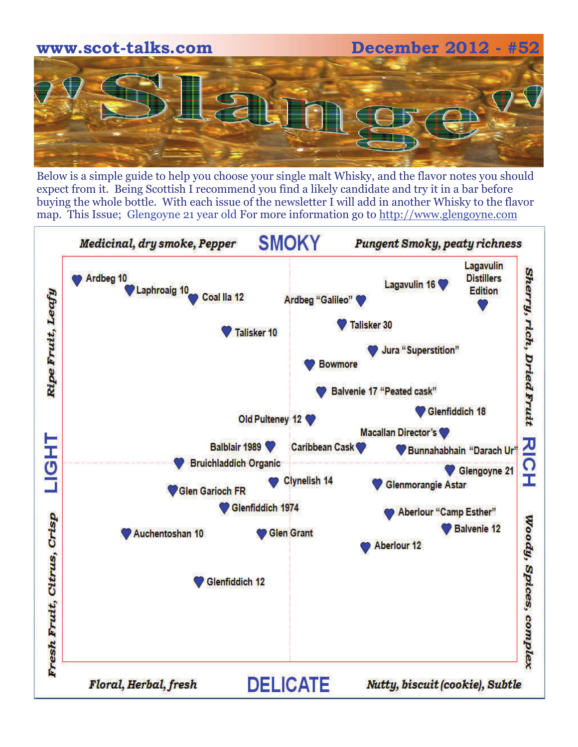

Below is a simple guide to help you choose your single malt Whisky, and the flavor notes you should expect from it. Being Scottish I recommend you find a likely candidate and try it in a bar before buying the whole bottle. With each issue of the newsletter I will add in another Whisky to the flavor map. This Issue; Glengoyne 21 year old For more information go to [http://www.glengoyne.com](http://www.glengoyne.com/)